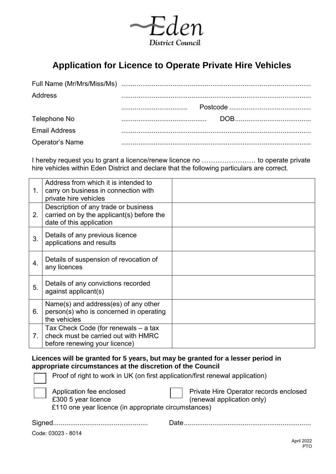

## **Application for Licence to Operate Private Hire Vehicles**

| Address              |  |
|----------------------|--|
|                      |  |
| Telephone No         |  |
| <b>Email Address</b> |  |
| Operator's Name      |  |

I hereby request you to grant a licence/renew licence no …………………… to operate private hire vehicles within Eden District and declare that the following particulars are correct.

| 1.               | Address from which it is intended to<br>carry on business in connection with<br>private hire vehicles         |  |
|------------------|---------------------------------------------------------------------------------------------------------------|--|
| 2.               | Description of any trade or business<br>carried on by the applicant(s) before the<br>date of this application |  |
| 3.               | Details of any previous licence<br>applications and results                                                   |  |
| $\overline{4}$ . | Details of suspension of revocation of<br>any licences                                                        |  |
| 5.               | Details of any convictions recorded<br>against applicant(s)                                                   |  |
| 6.               | Name(s) and address(es) of any other<br>person(s) who is concerned in operating<br>the vehicles               |  |
| 7 <sub>1</sub>   | Tax Check Code (for renewals - a tax<br>check must be carried out with HMRC<br>before renewing your licence)  |  |

**Licences will be granted for 5 years, but may be granted for a lesser period in appropriate circumstances at the discretion of the Council** 

| Proof of right to work in UK (on first application/first renewal application)                           |                                                                      |
|---------------------------------------------------------------------------------------------------------|----------------------------------------------------------------------|
| Application fee enclosed<br>£300 5 year licence<br>£110 one year licence (in appropriate circumstances) | Private Hire Operator records enclosed<br>(renewal application only) |
|                                                                                                         | Date                                                                 |

Code: 03023 - 8014